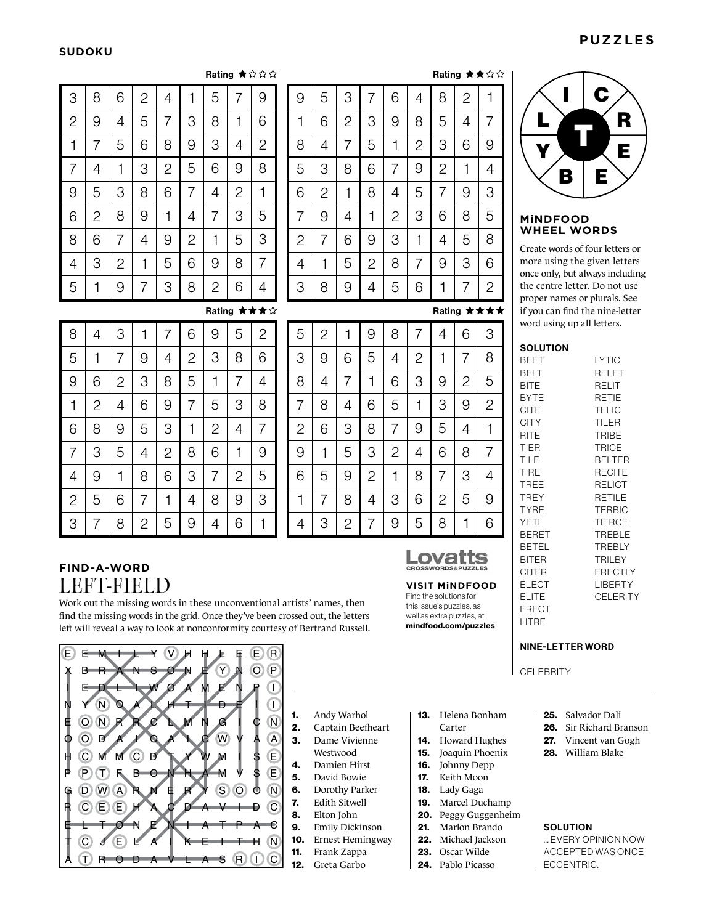# **SUDOKU**

|   | C |
|---|---|
|   | R |
|   | Е |
| B | E |

### **MiNDFOOD WHEEL WORDS**

Create words of four letters or more using the given letters once only, but always including the centre letter. Do not use proper names or plurals. See if you can find the nine-letter word using up all letters.

**SOLUTION** 

| <b>BEET</b>  | LYTIC          |
|--------------|----------------|
| BELT         | RELET          |
| BITE         | RELIT          |
| <b>BYTE</b>  | RETIE          |
| <b>CITE</b>  | <b>TELIC</b>   |
| <b>CITY</b>  | <b>TILER</b>   |
| RITE         | <b>TRIBE</b>   |
| TIER         | <b>TRICE</b>   |
| TILE         | <b>BELTER</b>  |
| TIRE         | <b>RECITE</b>  |
| TREE         | RELICT         |
| <b>TREY</b>  | RETILE         |
| <b>TYRE</b>  | <b>TERBIC</b>  |
| YETI         | <b>TIERCE</b>  |
| <b>BERET</b> | <b>TREBLE</b>  |
| <b>BETEL</b> | <b>TREBLY</b>  |
| BITER        | <b>TRILBY</b>  |
| CITER        | <b>ERECTLY</b> |
| ELECT        | LIBERTY        |
| ELITE        | CELERITY       |
| ERECT        |                |
| I ITRF       |                |

#### NINE-LETTER WORD

**CELEBRITY** 

- 25. Salvador Dali
- 26. Sir Richard Branson
- 27. Vincent van Gogh
- 28. William Blake

# **SOLUTION**

... EVERY OPINION NOW ACCEPTED WAS ONCE ECCENTRIC.

| Rating $\star \star \Diamond \Diamond$<br>Rating ★☆☆☆ |                |             |  |                |   |                |                |   |                |   |   |                |
|-------------------------------------------------------|----------------|-------------|--|----------------|---|----------------|----------------|---|----------------|---|---|----------------|
| 5                                                     | 7              | 9           |  | 9              | 5 | 3              | 7              | 6 | 4              | 8 | 2 | 1              |
| 8                                                     | 1              | 6           |  | 1              | 6 | $\overline{c}$ | 3              | 9 | 8              | 5 | 4 | 7              |
| 3                                                     | 4              | 2           |  | 8              | 4 | 7              | 5              | 1 | 2              | 3 | 6 | 9              |
| 6                                                     | 9              | 8           |  | 5              | 3 | 8              | 6              | 7 | 9              | 2 | 1 | 4              |
| 4                                                     | $\overline{2}$ | 1           |  | 6              | 2 | 1              | 8              | 4 | 5              | 7 | 9 | 3              |
| 7                                                     | 3              | 5           |  | 7              | 9 | 4              | 1              | 2 | 3              | 6 | 8 | 5              |
| 1                                                     | 5              | 3           |  | $\overline{2}$ | 7 | 6              | 9              | 3 | $\overline{1}$ | 4 | 5 | 8              |
| 9                                                     | 8              | 7           |  | 4              | 1 | 5              | $\overline{2}$ | 8 | 7              | 9 | 3 | 6              |
| $\overline{2}$                                        | 6              | 4           |  | 3              | 8 | 9              | 4              | 5 | 6              | 1 | 7 | $\overline{2}$ |
|                                                       |                | Rating ★★★☆ |  |                |   |                |                |   |                |   |   | Rating ★★★★    |

9

5

8

**VISIT MiNDFOOD** Find the solutions for this issue's puzzles, as well as extra puzzles, at mindfood.com/puzzles

Lovatts **CROSSWORDS&PUZZ** 

1

6

© Lovatts Puzzles

9

4

7

1

2

5

8

3

☆

5

3

8

4

9

2

7

6

 $\overline{2}$ 

7

6

5

3

9

1

4

6

8

4

9

1

3

2

7

3

1

 $\mathcal{P}$ 

7

5

6

4

8

| 7              | 9              | 9              | 5              | 3              | 7              | 6              | 4              | S                        |
|----------------|----------------|----------------|----------------|----------------|----------------|----------------|----------------|--------------------------|
| 1              | 6              | 1              | 6              | $\overline{c}$ | 3              | 9              | 8              | 5                        |
| 4              | $\overline{c}$ | 8              | $\overline{4}$ | 7              | 5              | 1              | $\overline{c}$ | G                        |
| 9              | 8              | 5              | 3              | 8              | 6              | 7              | 9              | Ź                        |
| $\overline{c}$ | 1              | 6              | $\overline{c}$ | 1              | 8              | 4              | 5              | 7                        |
| 3              | 5              | 7              | 9              | $\overline{4}$ | 1              | $\overline{c}$ | 3              | $\epsilon$               |
| 5              | 3              | $\overline{c}$ | $\overline{7}$ | 6              | 9              | 3              | 1              | $\overline{\mathcal{L}}$ |
| 8              | 7              | $\overline{4}$ | 1              | 5              | $\overline{c}$ | 8              | 7              | Ć                        |
| 6              | 4              | 3              | 8              | 9              | 4              | 5              | 6              | 1                        |
|                | ◆☆             |                |                |                |                |                |                | Rэ                       |

| 3              | 8              | 6              | $\overline{c}$ | 4              | 1              | 5              | $\overline{7}$ | 9              |
|----------------|----------------|----------------|----------------|----------------|----------------|----------------|----------------|----------------|
| $\overline{c}$ | 9              | 4              | 5              | 7              | 3              | 8              | 1              | 6              |
| 1              | 7              | 5              | 6              | 8              | 9              | 3              | 4              | $\overline{c}$ |
| 7              | 4              | 1              | 3              | $\overline{c}$ | 5              | 6              | 9              | 8              |
| 9              | 5              | 3              | 8              | 6              | $\overline{7}$ | 4              | $\overline{c}$ | 1              |
| 6              | $\overline{c}$ | 8              | 9              | 1              | 4              | 7              | 3              | 5              |
| 8              | 6              | 7              | 4              | 9              | $\mathbf{2}$   | 1              | 5              | 3              |
| $\overline{4}$ | 3              | $\overline{c}$ | 1              | 5              | 6              | 9              | 8              | 7              |
| 5              | 1              | 9              | 7              | 3              | 8              | $\overline{2}$ | 6              | 4              |
|                |                |                |                |                |                |                |                | Rating ★★★☆    |
| 8              | 4              | 3              | 1              | 7              | 6              | 9              | 5              | 2              |

| 7              | 6            | 9              | 5              | $\overline{c}$ | 5              | $\overline{c}$ | 1              | 9              |
|----------------|--------------|----------------|----------------|----------------|----------------|----------------|----------------|----------------|
| 4              | $\mathbf{2}$ | 3              | 8              | 6              | 3              | 9              | 6              | 5              |
| 8              | 5            | 1              | 7              | 4              | 8              | 4              | 7              | 1              |
| 9              | 7            | 5              | 3              | 8              | 7              | 8              | 4              | 6              |
| 3              | 1            | $\overline{c}$ | 4              | 7              | $\overline{c}$ | 6              | 3              | 8              |
| $\overline{c}$ | 8            | 6              | 1              | 9              | 9              | 1              | 5              | 3              |
| 6              | 3            | 7              | $\overline{c}$ | 5              | 6              | 5              | 9              | $\overline{c}$ |
| 1              | 4            | 8              | 9              | 3              | 1              | 7              | 8              | 4              |
| 5              | 9            | 4              | 6              |                | 4              | З              | $\overline{c}$ | 7              |

# **FIND-A-WORD** LEFT-FIELD

8

2

7

8

 $\Delta$ 

5

6

3

9

6

1

5

9

4

2

7

3

7

5

9

3

8

2

6

1

2

4

7

6

1

9

5

Work out the missing words in these unconventional artists' names, then find the missing words in the grid. Once they've been crossed out, the letters left will reveal a way to look at nonconformity courtesy of Bertrand Russell.



- 1. Andy Warhol
- 2. Captain Beefheart 3. Dame Vivienne
- Westwood
- 4. Damien Hirst
- 5. David Bowie
- 6. Dorothy Parker
- 7. Edith Sitwell
- 8. Elton John
- 9. Emily Dickinson
- 10. Ernest Hemingway
	- 11. Frank Zappa
	- 12. Greta Garbo
- 13. Helena Bonham Carter
- 14. Howard Hughes
- 15. Joaquin Phoenix
- 16. Johnny Depp
- 17. Keith Moon
- 18. Lady Gaga
- 19. Marcel Duchamp
- 20. Peggy Guggenheim
- 21. Marlon Brando 22. Michael Jackson
- 23. Oscar Wilde
- 24. Pablo Picasso

#### $RI$ TIER